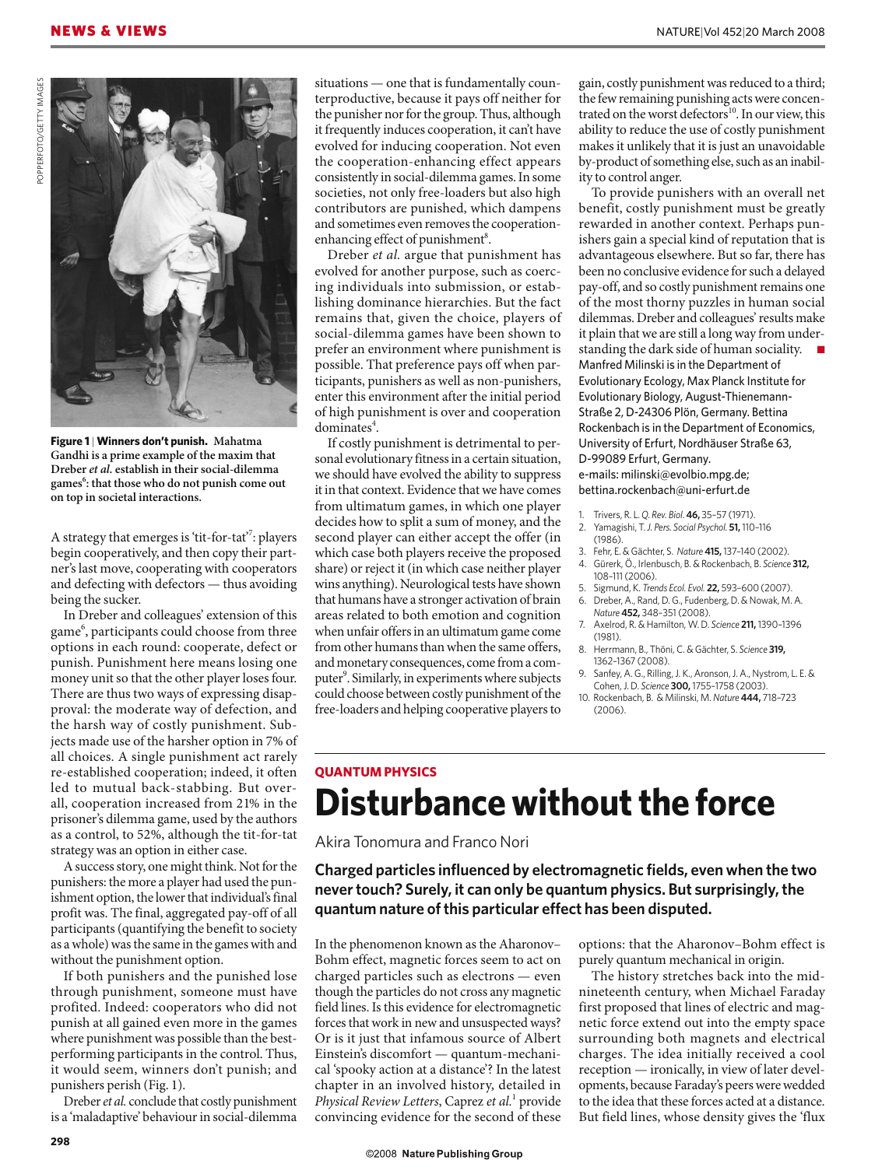

**Figure 1** | **Winners don't punish. Mahatma Gandhi is a prime example of the maxim that Dreber** *et al.* **establish in their social-dilemma**  games<sup>6</sup>: that those who do not punish come out **on top in societal interactions.**

A strategy that emerges is 'tit-for-tat'<sup>7</sup>: players begin cooperatively, and then copy their partner's last move, cooperating with cooperators and defecting with defectors — thus avoiding being the sucker.

In Dreber and colleagues' extension of this game6 , participants could choose from three options in each round: cooperate, defect or punish. Punishment here means losing one money unit so that the other player loses four. There are thus two ways of expressing disapproval: the moderate way of defection, and the harsh way of costly punishment. Subjects made use of the harsher option in 7% of all choices. A single punishment act rarely re-established cooperation; indeed, it often led to mutual back-stabbing. But overall, cooperation increased from 21% in the prisoner's dilemma game, used by the authors as a control, to 52%, although the tit-for-tat strategy was an option in either case.

A success story, one might think. Not for the punishers: the more a player had used the punishment option, the lower that individual's final profit was. The final, aggregated pay-off of all participants (quantifying the benefit to society as a whole) was the same in the games with and without the punishment option.

If both punishers and the punished lose through punishment, someone must have profited. Indeed: cooperators who did not punish at all gained even more in the games where punishment was possible than the bestperforming participants in the control. Thus, it would seem, winners don't punish; and punishers perish (Fig. 1).

Dreber *et al.* conclude that costly punishment is a 'maladaptive' behaviour in social-dilemma

situations — one that is fundamentally counterproductive, because it pays off neither for the punisher nor for the group. Thus, although it frequently induces cooperation, it can't have evolved for inducing cooperation. Not even the cooperation-enhancing effect appears consistently in social-dilemma games. In some societies, not only free-loaders but also high contributors are punished, which dampens and sometimes even removes the cooperationenhancing effect of punishment<sup>8</sup>.

Dreber *et al.* argue that punishment has evolved for another purpose, such as coercing individuals into submission, or establishing dominance hierarchies. But the fact remains that, given the choice, players of social-dilemma games have been shown to prefer an environment where punishment is possible. That preference pays off when participants, punishers as well as non-punishers, enter this environment after the initial period of high punishment is over and cooperation dominates<sup>4</sup>.

If costly punishment is detrimental to personal evolutionary fitness in a certain situation, we should have evolved the ability to suppress it in that context. Evidence that we have comes from ultimatum games, in which one player decides how to split a sum of money, and the second player can either accept the offer (in which case both players receive the proposed share) or reject it (in which case neither player wins anything). Neurological tests have shown that humans have a stronger activation of brain areas related to both emotion and cognition when unfair offers in an ultimatum game come from other humans than when the same offers, and monetary consequences, come from a computer<sup>9</sup>. Similarly, in experiments where subjects could choose between costly punishment of the free-loaders and helping cooperative players to

gain, costly punishment was reduced to a third; the few remaining punishing acts were concentrated on the worst defectors<sup>10</sup>. In our view, this ability to reduce the use of costly punishment makes it unlikely that it is just an unavoidable by-product of something else, such as an inability to control anger.

To provide punishers with an overall net benefit, costly punishment must be greatly rewarded in another context. Perhaps punishers gain a special kind of reputation that is advantageous elsewhere. But so far, there has been no conclusive evidence for such a delayed pay-off, and so costly punishment remains one of the most thorny puzzles in human social dilemmas. Dreber and colleagues' results make it plain that we are still a long way from understanding the dark side of human sociality. ■ Manfred Milinski is in the Department of Evolutionary Ecology, Max Planck Institute for Evolutionary Biology, August-Thienemann-Straße 2, D-24306 Plön, Germany. Bettina Rockenbach is in the Department of Economics, University of Erfurt, Nordhäuser Straße 63, D-99089 Erfurt, Germany. e-mails: milinski@evolbio.mpg.de; bettina.rockenbach@uni-erfurt.de

- 2. Yamagishi, T. *J. Pers. Social Psychol.* **51,** 110–116 (1986).
- 3. Fehr, E. & Gächter, S. *Nature* **415,** 137–140 (2002). 4. Gürerk, Ö., Irlenbusch, B. & Rockenbach, B. *Science* **312,**
- 108–111 (2006). 5. Sigmund, K. *Trends Ecol. Evol.* **22,** 593–600 (2007).
- 6. Dreber, A., Rand, D. G., Fudenberg, D. & Nowak, M. A. *Nature* **452,** 348–351 (2008).
- 7. Axelrod, R. & Hamilton, W. D. *Science* **211,** 1390–1396 (1981).
- 8. Herrmann, B., Thöni, C. & Gächter, S. *Science* **319,** 1362–1367 (2008).
- 9. Sanfey, A. G., Rilling, J. K., Aronson, J. A., Nystrom, L. E. & Cohen, J. D. *Science* **300,** 1755–1758 (2003).
- 10. Rockenbach, B. & Milinski, M. *Nature* **444,** 718–723 (2006).

## **QUANTUM PHYSICS Disturbance without the force**

Akira Tonomura and Franco Nori

**Charged particles influenced by electromagnetic fields, even when the two never touch? Surely, it can only be quantum physics. But surprisingly, the quantum nature of this particular effect has been disputed.** 

In the phenomenon known as the Aharonov– Bohm effect, magnetic forces seem to act on charged particles such as electrons — even though the particles do not cross any magnetic field lines. Is this evidence for electromagnetic forces that work in new and unsuspected ways? Or is it just that infamous source of Albert Einstein's discomfort — quantum-mechanical 'spooky action at a distance'? In the latest chapter in an involved history, detailed in *Physical Review Letters*, Caprez *et al.*<sup>1</sup> provide convincing evidence for the second of these

options: that the Aharonov–Bohm effect is purely quantum mechanical in origin.

The history stretches back into the midnineteenth century, when Michael Faraday first proposed that lines of electric and magnetic force extend out into the empty space surrounding both magnets and electrical charges. The idea initially received a cool reception — ironically, in view of later developments, because Faraday's peers were wedded to the idea that these forces acted at a distance. But field lines, whose density gives the 'flux

<sup>1.</sup> Trivers, R. L. *Q. Rev. Biol*. **46,** 35–57 (1971).